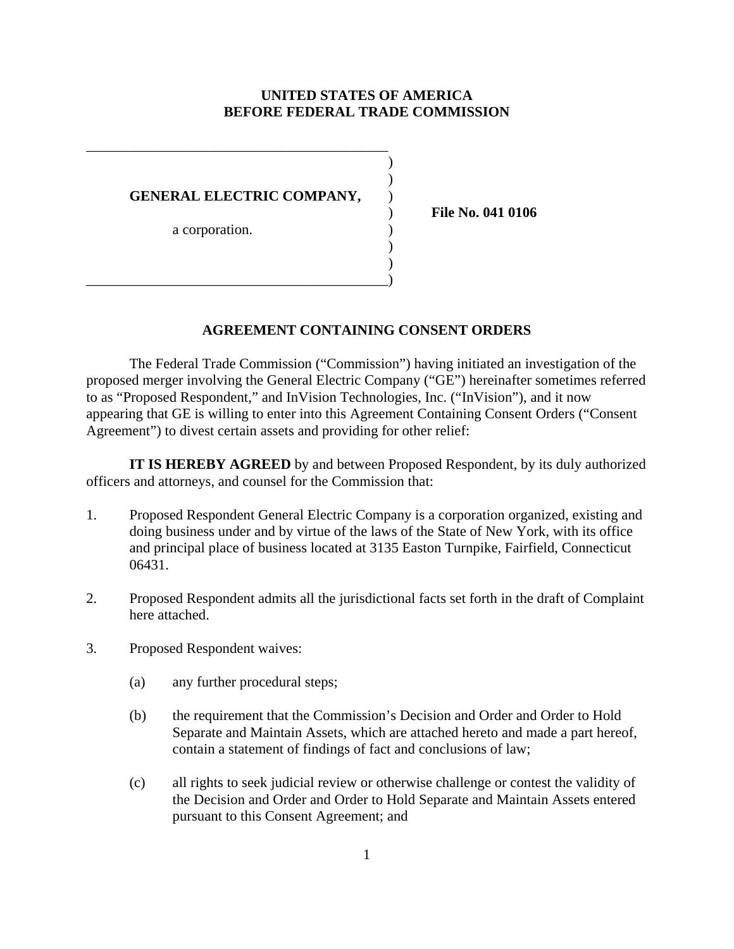# **UNITED STATES OF AMERICA BEFORE FEDERAL TRADE COMMISSION**

) )

) )

| GENERAL ELECTRIC COMPANY, |  |
|---------------------------|--|
| a corporation.            |  |

\_\_\_\_\_\_\_\_\_\_\_\_\_\_\_\_\_\_\_\_\_\_\_\_\_\_\_\_\_\_\_\_\_\_\_\_\_\_\_\_\_\_)

\_\_\_\_\_\_\_\_\_\_\_\_\_\_\_\_\_\_\_\_\_\_\_\_\_\_\_\_\_\_\_\_\_\_\_\_\_\_\_\_\_\_

) **File No. 041 0106** 

#### **AGREEMENT CONTAINING CONSENT ORDERS**

The Federal Trade Commission ("Commission") having initiated an investigation of the proposed merger involving the General Electric Company ("GE") hereinafter sometimes referred to as "Proposed Respondent," and InVision Technologies, Inc. ("InVision"), and it now appearing that GE is willing to enter into this Agreement Containing Consent Orders ("Consent Agreement") to divest certain assets and providing for other relief:

**IT IS HEREBY AGREED** by and between Proposed Respondent, by its duly authorized officers and attorneys, and counsel for the Commission that:

- 1. Proposed Respondent General Electric Company is a corporation organized, existing and doing business under and by virtue of the laws of the State of New York, with its office and principal place of business located at 3135 Easton Turnpike, Fairfield, Connecticut 06431.
- 2. Proposed Respondent admits all the jurisdictional facts set forth in the draft of Complaint here attached.
- 3. Proposed Respondent waives:
	- (a) any further procedural steps;
	- (b) the requirement that the Commission's Decision and Order and Order to Hold Separate and Maintain Assets, which are attached hereto and made a part hereof, contain a statement of findings of fact and conclusions of law;
	- (c) all rights to seek judicial review or otherwise challenge or contest the validity of the Decision and Order and Order to Hold Separate and Maintain Assets entered pursuant to this Consent Agreement; and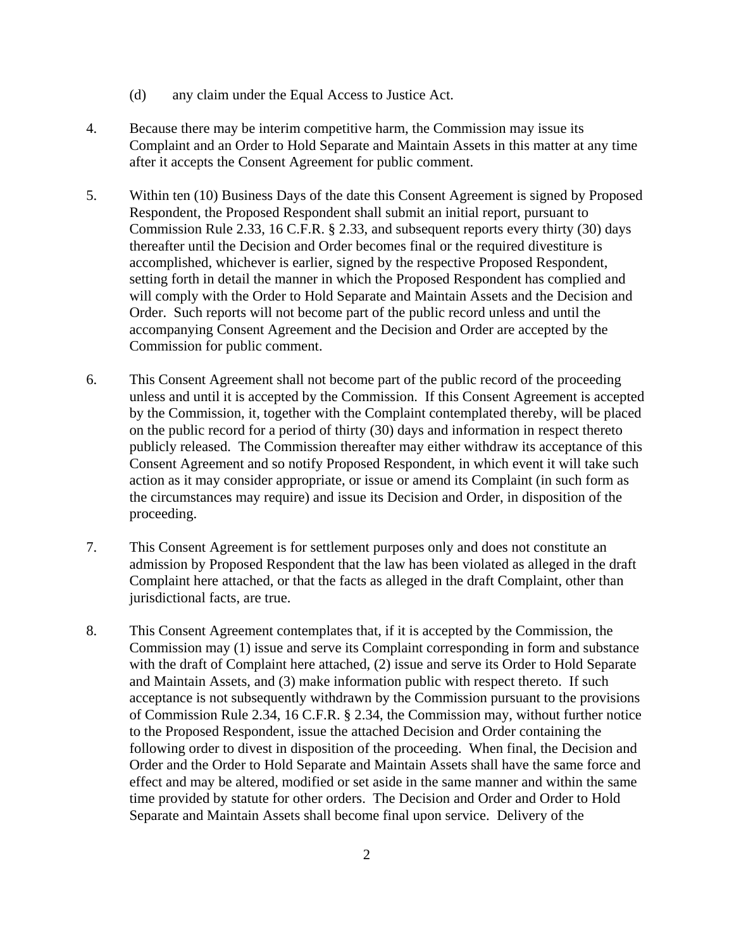- (d) any claim under the Equal Access to Justice Act.
- 4. Because there may be interim competitive harm, the Commission may issue its Complaint and an Order to Hold Separate and Maintain Assets in this matter at any time after it accepts the Consent Agreement for public comment.
- 5. Within ten (10) Business Days of the date this Consent Agreement is signed by Proposed Respondent, the Proposed Respondent shall submit an initial report, pursuant to Commission Rule 2.33, 16 C.F.R. § 2.33, and subsequent reports every thirty (30) days thereafter until the Decision and Order becomes final or the required divestiture is accomplished, whichever is earlier, signed by the respective Proposed Respondent, setting forth in detail the manner in which the Proposed Respondent has complied and will comply with the Order to Hold Separate and Maintain Assets and the Decision and Order. Such reports will not become part of the public record unless and until the accompanying Consent Agreement and the Decision and Order are accepted by the Commission for public comment.
- 6. This Consent Agreement shall not become part of the public record of the proceeding unless and until it is accepted by the Commission. If this Consent Agreement is accepted by the Commission, it, together with the Complaint contemplated thereby, will be placed on the public record for a period of thirty (30) days and information in respect thereto publicly released. The Commission thereafter may either withdraw its acceptance of this Consent Agreement and so notify Proposed Respondent, in which event it will take such action as it may consider appropriate, or issue or amend its Complaint (in such form as the circumstances may require) and issue its Decision and Order, in disposition of the proceeding.
- 7. This Consent Agreement is for settlement purposes only and does not constitute an admission by Proposed Respondent that the law has been violated as alleged in the draft Complaint here attached, or that the facts as alleged in the draft Complaint, other than jurisdictional facts, are true.
- 8. This Consent Agreement contemplates that, if it is accepted by the Commission, the Commission may (1) issue and serve its Complaint corresponding in form and substance with the draft of Complaint here attached, (2) issue and serve its Order to Hold Separate and Maintain Assets, and (3) make information public with respect thereto. If such acceptance is not subsequently withdrawn by the Commission pursuant to the provisions of Commission Rule 2.34, 16 C.F.R. § 2.34, the Commission may, without further notice to the Proposed Respondent, issue the attached Decision and Order containing the following order to divest in disposition of the proceeding. When final, the Decision and Order and the Order to Hold Separate and Maintain Assets shall have the same force and effect and may be altered, modified or set aside in the same manner and within the same time provided by statute for other orders. The Decision and Order and Order to Hold Separate and Maintain Assets shall become final upon service. Delivery of the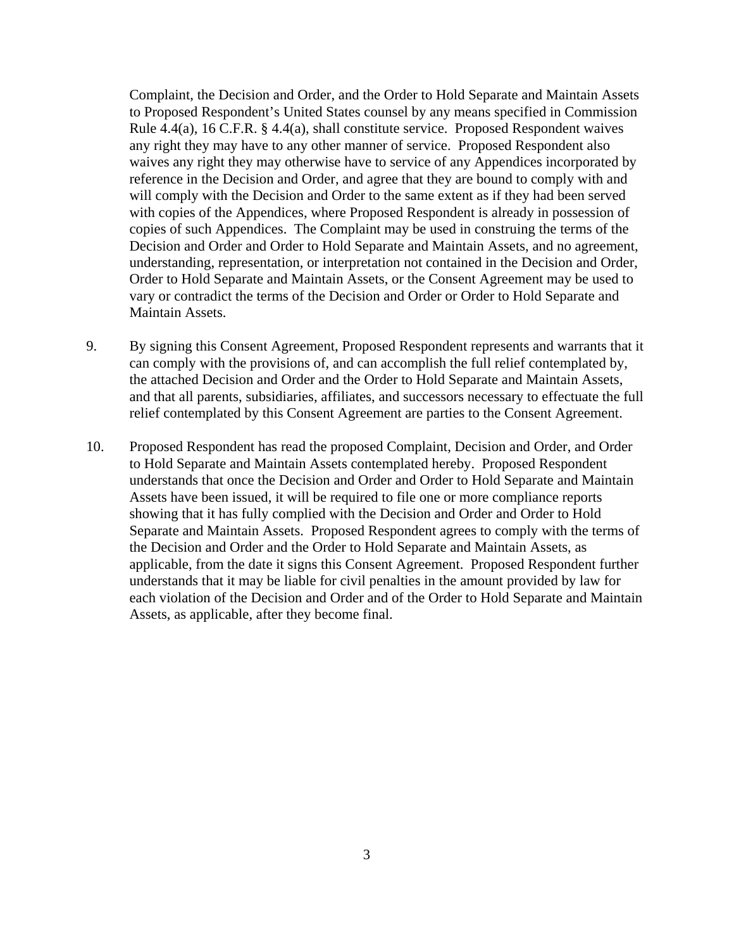Complaint, the Decision and Order, and the Order to Hold Separate and Maintain Assets to Proposed Respondent's United States counsel by any means specified in Commission Rule 4.4(a), 16 C.F.R. § 4.4(a), shall constitute service. Proposed Respondent waives any right they may have to any other manner of service. Proposed Respondent also waives any right they may otherwise have to service of any Appendices incorporated by reference in the Decision and Order, and agree that they are bound to comply with and will comply with the Decision and Order to the same extent as if they had been served with copies of the Appendices, where Proposed Respondent is already in possession of copies of such Appendices. The Complaint may be used in construing the terms of the Decision and Order and Order to Hold Separate and Maintain Assets, and no agreement, understanding, representation, or interpretation not contained in the Decision and Order, Order to Hold Separate and Maintain Assets, or the Consent Agreement may be used to vary or contradict the terms of the Decision and Order or Order to Hold Separate and Maintain Assets.

- 9. By signing this Consent Agreement, Proposed Respondent represents and warrants that it can comply with the provisions of, and can accomplish the full relief contemplated by, the attached Decision and Order and the Order to Hold Separate and Maintain Assets, and that all parents, subsidiaries, affiliates, and successors necessary to effectuate the full relief contemplated by this Consent Agreement are parties to the Consent Agreement.
- 10. Proposed Respondent has read the proposed Complaint, Decision and Order, and Order to Hold Separate and Maintain Assets contemplated hereby. Proposed Respondent understands that once the Decision and Order and Order to Hold Separate and Maintain Assets have been issued, it will be required to file one or more compliance reports showing that it has fully complied with the Decision and Order and Order to Hold Separate and Maintain Assets. Proposed Respondent agrees to comply with the terms of the Decision and Order and the Order to Hold Separate and Maintain Assets, as applicable, from the date it signs this Consent Agreement. Proposed Respondent further understands that it may be liable for civil penalties in the amount provided by law for each violation of the Decision and Order and of the Order to Hold Separate and Maintain Assets, as applicable, after they become final.